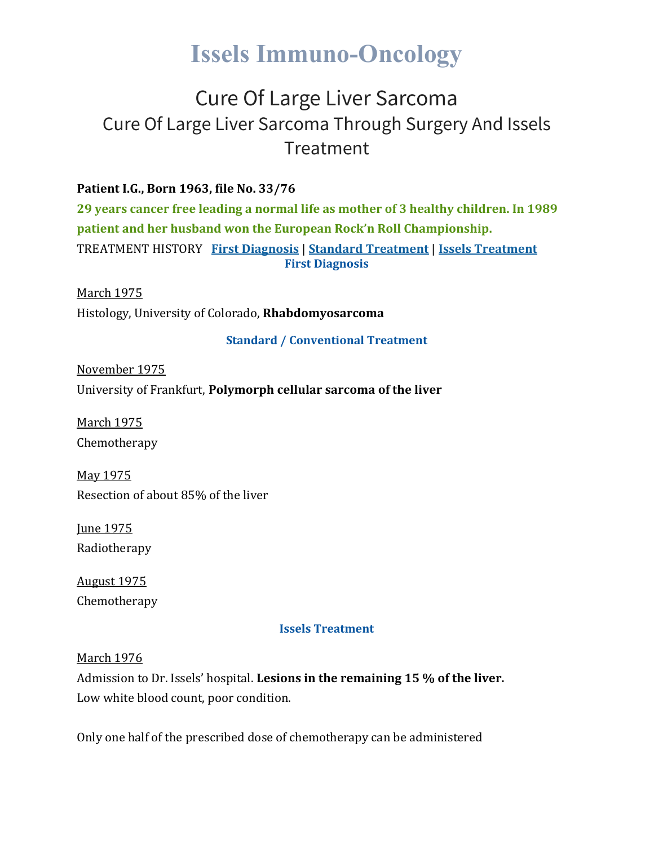# **Issels Immuno-Oncology**

# Cure Of Large Liver Sarcoma Cure Of Large Liver Sarcoma Through Surgery And Issels Treatment

### **Patient I.G., Born 1963, file No. 33/76**

**29 years cancer free leading a normal life as mother of 3 healthy children. In 1989 patient and her husband won the European Rock'n Roll Championship.** TREATMENT HISTORY **First [Diagnosis](https://issels.com/cancer-cases/liver-1-large-liver-sarcoma/#First)** | **Standard [Treatment](https://issels.com/cancer-cases/liver-1-large-liver-sarcoma/#Standard)** | **Issels [Treatment](https://issels.com/cancer-cases/liver-1-large-liver-sarcoma/#Issels) First Diagnosis**

March 1975 Histology, University of Colorado, **Rhabdomyosarcoma**

#### **Standard / Conventional Treatment**

November 1975 University of Frankfurt, **Polymorph cellular sarcoma of the liver**

March 1975 Chemotherapy

May 1975 Resection of about 85% of the liver

June 1975 Radiotherapy

August 1975 Chemotherapy

#### **Issels Treatment**

March 1976

Admission to Dr. Issels' hospital. **Lesions in the remaining 15 % of the liver.** Low white blood count, poor condition.

Only one half of the prescribed dose of chemotherapy can be administered